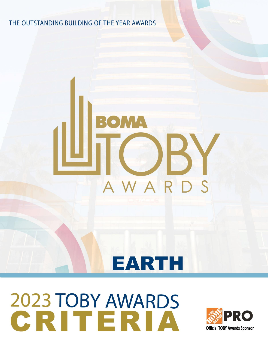THE OUTSTANDING BUILDING OF THE YEAR AWARDS

# AWAR  $\mathcal{S}$

### **EARTH**

## 2023 TOBY AWARDS<br>CRITERIA

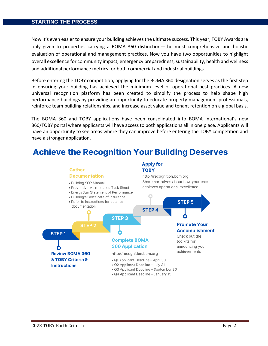#### **STARTING THE PROCESS**

Now it's even easier to ensure your building achieves the ultimate success. This year, TOBY Awards are only given to properties carrying a BOMA 360 distinction—the most comprehensive and holistic evaluation of operational and management practices. Now you have two opportunities to highlight overall excellence for community impact, emergency preparedness, sustainability, health and wellness and additional performance metrics for both commercial and industrial buildings.

Before entering the TOBY competition, applying for the BOMA 360 designation serves as the first step in ensuring your building has achieved the minimum level of operational best practices. A new universal recognition platform has been created to simplify the process to help shape high performance buildings by providing an opportunity to educate property management professionals, reinforce team building relationships, and increase asset value and tenant retention on a global basis.

The BOMA 360 and TOBY applications have been consolidated into BOMA International's new 360/TOBY portal where applicants will have access to both applications all in one place. Applicants will have an opportunity to see areas where they can improve before entering the TOBY competition and have a stronger application.

### **Achieve the Recognition Your Building Deserves**

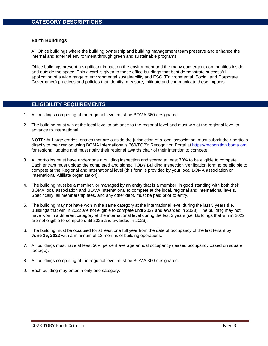#### **Earth Buildings**

All Office buildings where the building ownership and building management team preserve and enhance the internal and external environment through green and sustainable programs.

Office buildings present a significant impact on the environment and the many convergent communities inside and outside the space. This award is given to those office buildings that best demonstrate successful application of a wide range of environmental sustainability and ESG (Environmental, Social, and Corporate Governance) practices and policies that identify, measure, mitigate and communicate these impacts.

#### **ELIGIBILITY REQUIREMENTS**

- 1. All buildings competing at the regional level must be BOMA 360-designated.
- 2. The building must win at the local level to advance to the regional level and must win at the regional level to advance to International.

**NOTE:** At-Large entries, entries that are outside the jurisdiction of a local association, must submit their portfolio directly to their region using BOMA International's 360/TOBY Recognition Portal at [https://recognition.boma.org](https://recognition.boma.org/) for regional judging and must notify their regional awards chair of their intention to compete.

- 3. All portfolios must have undergone a building inspection and scored at least 70% to be eligible to compete. Each entrant must upload the completed and signed TOBY Building Inspection Verification form to be eligible to compete at the Regional and International level (this form is provided by your local BOMA association or International Affiliate organization).
- 4. The building must be a member, or managed by an entity that is a member, in good standing with both their BOMA local association and BOMA International to compete at the local, regional and international levels. Specifically, all membership fees, and any other debt, must be paid prior to entry.
- 5. The building may not have won in the same category at the international level during the last 5 years (i.e. Buildings that win in 2022 are not eligible to compete until 2027 and awarded in 2028). The building may not have won in a different category at the international level during the last 3 years (i.e. Buildings that win in 2022 are not eligible to compete until 2025 and awarded in 2026).
- 6. The building must be occupied for at least one full year from the date of occupancy of the first tenant by **June 15, 2022** with a minimum of 12 months of building operations.
- 7. All buildings must have at least 50% percent average annual occupancy (leased occupancy based on square footage).
- 8. All buildings competing at the regional level must be BOMA 360-designated.
- 9. Each building may enter in only one category.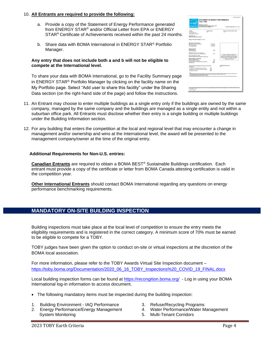#### 10. **All Entrants are required to provide the following:**

- a. Provide a copy of the Statement of Energy Performance generated from ENERGY STAR® and/or Official Letter from EPA or ENERGY STAR<sup>®</sup> Certificate of Achievements received within the past 24 months.
- b. Share data with BOMA International in ENERGY STAR® Portfolio Manager.

#### **Any entry that does not include both a and b will not be eligible to compete at the International level.**

To share your data with BOMA International, go to the Facility Summary page in ENERGY STAR® Portfolio Manager by clicking on the facility name on the My Portfolio page. Select "Add user to share this facility" under the Sharing Data section (on the right-hand side of the page) and follow the instructions.

|                                                                                 |                                        | OMB No. 2065-0347                                                                                                                                                                                                                 |  |
|---------------------------------------------------------------------------------|----------------------------------------|-----------------------------------------------------------------------------------------------------------------------------------------------------------------------------------------------------------------------------------|--|
|                                                                                 | <b>STATEMENT OF ENERGY PERFORMANCE</b> |                                                                                                                                                                                                                                   |  |
| <b>1310 L Test</b>                                                              |                                        |                                                                                                                                                                                                                                   |  |
|                                                                                 |                                        |                                                                                                                                                                                                                                   |  |
| Relation ID: 3218272                                                            |                                        |                                                                                                                                                                                                                                   |  |
| For 12-month Period Ending: April 50, 2012*<br>Date SEP becomes ineligible: N/A |                                        | Date SEP Generated: July 12, 2012                                                                                                                                                                                                 |  |
|                                                                                 |                                        |                                                                                                                                                                                                                                   |  |
| Facility                                                                        | Facility Owner                         | <b>Primary Contact for this Facility</b>                                                                                                                                                                                          |  |
| 1310 L Test<br>1210 L street, NW                                                | NA                                     | NA                                                                                                                                                                                                                                |  |
| Washington, DC 20005                                                            |                                        |                                                                                                                                                                                                                                   |  |
| Year Built: 2002                                                                |                                        |                                                                                                                                                                                                                                   |  |
| Gross Floor Area (Nº2 153.500)                                                  |                                        |                                                                                                                                                                                                                                   |  |
| Energy Performance Rating/ (1-100) 73                                           |                                        |                                                                                                                                                                                                                                   |  |
| Site Energy Use Summary!                                                        |                                        |                                                                                                                                                                                                                                   |  |
| Electricity - One Purchase(kBls)<br>Natural Gas delity)*                        | 11,188,218<br>1,221,548                |                                                                                                                                                                                                                                   |  |
| Total Energy (kBhu)                                                             | 12.579.762                             |                                                                                                                                                                                                                                   |  |
|                                                                                 |                                        |                                                                                                                                                                                                                                   |  |
| Energy Intensity*                                                               |                                        |                                                                                                                                                                                                                                   |  |
| Site (ABturbillyr)<br>Source (kills/fillin)                                     | <b>N</b><br>200                        |                                                                                                                                                                                                                                   |  |
| Emissions (based on site energy use)                                            |                                        |                                                                                                                                                                                                                                   |  |
| Greenhouse Gas Emissions (MCO,a/war)                                            | 1,848                                  | Stang of Certifying Professional                                                                                                                                                                                                  |  |
| Electric Distribution Utility                                                   |                                        | Based on the conditions observed at the                                                                                                                                                                                           |  |
| Potenac Electric Power Co (Papoe Holdings Inc)                                  |                                        | line of my visit to this building. I certify that                                                                                                                                                                                 |  |
| <b>National Median Comparison</b>                                               |                                        | the information contained within this<br>statement is annurate                                                                                                                                                                    |  |
| National Median Site FLS<br>National Median Source EUF                          | 104<br>334                             |                                                                                                                                                                                                                                   |  |
| % Offenence from National Median Source ELT                                     | -22%                                   |                                                                                                                                                                                                                                   |  |
| <b>Building Type</b>                                                            | Critical                               |                                                                                                                                                                                                                                   |  |
| Meets Industry Standards1 for Indoor Environmental                              |                                        | <b>Cortifying Professional</b><br>N/A                                                                                                                                                                                             |  |
| <b>Conditions:</b><br>Ventilation for Acceptable Indoor Air Quality             | NIA                                    |                                                                                                                                                                                                                                   |  |
| Acceptable Thermal Environmental Conditions                                     | NIA                                    |                                                                                                                                                                                                                                   |  |
| Adequate Illumination                                                           | NIA                                    |                                                                                                                                                                                                                                   |  |
|                                                                                 |                                        |                                                                                                                                                                                                                                   |  |
|                                                                                 |                                        | 1. Appliates to the ENSEST ETAT must be admitted to the chief of the face of thing too. Applied to ENSEST ETAT a strike with approve a monachine EFA.<br>2. The EPA Damp Profession Applications are about the Care of Pla for mo |  |
|                                                                                 |                                        | 4. Strute received away, minicipal and address to count pend.<br>4. Season Media months the book to to rechence to accepto subor as suchy Attribute theory (ii) to theme contact and little spling the dead to by the such        |  |
|                                                                                 |                                        |                                                                                                                                                                                                                                   |  |
|                                                                                 |                                        |                                                                                                                                                                                                                                   |  |
|                                                                                 |                                        |                                                                                                                                                                                                                                   |  |
|                                                                                 |                                        |                                                                                                                                                                                                                                   |  |
|                                                                                 |                                        |                                                                                                                                                                                                                                   |  |
|                                                                                 |                                        |                                                                                                                                                                                                                                   |  |
|                                                                                 |                                        |                                                                                                                                                                                                                                   |  |
|                                                                                 |                                        |                                                                                                                                                                                                                                   |  |
|                                                                                 |                                        |                                                                                                                                                                                                                                   |  |
| <b>ERA Form Siddl-16</b>                                                        |                                        |                                                                                                                                                                                                                                   |  |

- 11. An Entrant may choose to enter multiple buildings as a single entry only if the buildings are owned by the same company, managed by the same company and the buildings are managed as a single entity and not within a suburban office park. All Entrants must disclose whether their entry is a single building or multiple buildings under the Building Information section.
- 12. For any building that enters the competition at the local and regional level that may encounter a change in management and/or ownership and wins at the International level, the award will be presented to the management company/owner at the time of the original entry.

#### **Additional Requirements for Non-U.S. entries:**

**Canadian Entrants** are required to obtain a BOMA BEST® Sustainable Buildings certification. Each entrant must provide a copy of the certificate or letter from BOMA Canada attesting certification is valid in the competition year.

**Other International Entrants** should contact BOMA International regarding any questions on energy performance benchmarking requirements.

#### **MANDATORY ON-SITE BUILDING INSPECTION**

Building inspections must take place at the local level of competition to ensure the entry meets the eligibility requirements and is registered in the correct category. A minimum score of 70% must be earned to be eligible to compete for a TOBY.

TOBY judges have been given the option to conduct on-site or virtual inspections at the discretion of the BOMA local association.

For more information, please refer to the TOBY Awards Virtual Site Inspection document – [https://toby.boma.org/Documentation/2020\\_06\\_16\\_TOBY\\_Inspections%20\\_COVID\\_19\\_FINAL.docx](https://toby.boma.org/Documentation/2020_06_16_TOBY_Inspections%20_COVID_19_FINAL.docx)

Local building inspection forms can be found at<https://recongition.boma.org/> - Log in using your BOMA International log-in information to access document.

- The following mandatory items must be inspected during the building inspection:
- 1. Building Environment IAQ Performance
- 2. Energy Performance/Energy Management System Monitoring
- 3. Refuse/Recycling Programs
- 4. Water Performance/Water Management
- 5. Multi-Tenant Corridors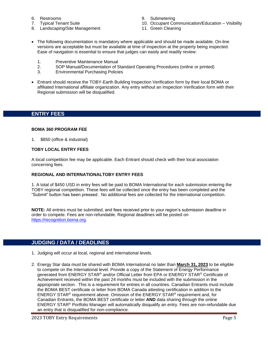- 6. Restrooms
- 7. Typical Tenant Suite
- 8. Landscaping/Site Management
- 9. Submetering
- 10. Occupant Communication/Education Visibility
- 11. Green Cleaning
- The following documentation is mandatory where applicable and should be made available. On-line versions are acceptable but must be available at time of inspection at the property being inspected. Ease of navigation is essential to ensure that judges can easily and readily review:
	- 1. Preventive Maintenance Manual
	- 2. SOP Manual/Documentation of Standard Operating Procedures (online or printed)
	- 3. Environmental Purchasing Policies
- Entrant should receive the TOBY-Earth Building Inspection Verification form by their local BOMA or affiliated International affiliate organization. Any entry without an Inspection Verification form with their Regional submission will be disqualified.

#### **ENTRY FEES**

#### **BOMA 360 PROGRAM FEE**

1. \$850 (office & industrial)

#### **TOBY LOCAL ENTRY FEES**

A local competition fee may be applicable. Each Entrant should check with their local association concerning fees.

#### **REGIONAL AND INTERNATIONALTOBY ENTRY FEES**

1. A total of \$450 USD in entry fees will be paid to BOMA International for each submission entering the TOBY regional competition. These fees will be collected once the entry has been completed and the "Submit" button has been pressed. No additional fees are collected for the international competition.

**NOTE:** All entries must be submitted, and fees received prior to your region's submission deadline in order to compete. Fees are non-refundable. Regional deadlines will be posted on [https://recognition.boma.org.](https://recognition.boma.org/)

#### **JUDGING / DATA / DEADLINES**

- 1. Judging will occur at local, regional and international levels.
- 2. Energy Star data must be shared with BOMA International no later than **March 31, 2023** to be eligible to compete on the International level. Provide a copy of the Statement of Energy Performance generated from ENERGY STAR<sup>®</sup> and/or Official Letter from EPA or ENERGY STAR<sup>®</sup> Certificate of Achievement received within the past 24 months must be included with the submission in the appropriate section. This is a requirement for entries in all countries. Canadian Entrants must include the BOMA BEST certificate or letter from BOMA Canada attesting certification in addition to the ENERGY STAR® requirement above. Omission of the ENERGY STAR® requirement and, for Canadian Entrants, the BOMA BEST certificate or letter **AND** data sharing through the online ENERGY STAR® Portfolio Manager will automatically disqualify an entry. Fees are non-refundable due an entry that is disqualified for non-compliance.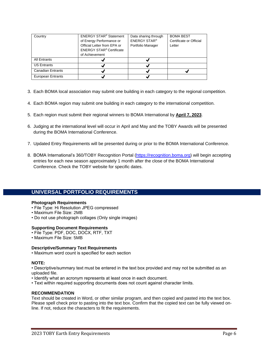| Country                  | <b>ENERGY STAR<sup>®</sup> Statement</b>   | Data sharing through | <b>BOMA BEST</b>        |
|--------------------------|--------------------------------------------|----------------------|-------------------------|
|                          | of Energy Performance or                   | <b>ENERGY STAR®</b>  | Certificate or Official |
|                          | Official Letter from EPA or                | Portfolio Manager    | Letter                  |
|                          | <b>ENERGY STAR<sup>®</sup> Certificate</b> |                      |                         |
|                          | of Achievement                             |                      |                         |
| All Entrants             |                                            |                      |                         |
| <b>US Entrants</b>       |                                            |                      |                         |
| <b>Canadian Entrants</b> | √                                          |                      |                         |
| <b>European Entrants</b> |                                            |                      |                         |

- 3. Each BOMA local association may submit one building in each category to the regional competition.
- 4. Each BOMA region may submit one building in each category to the international competition.
- 5. Each region must submit their regional winners to BOMA International by **April 7, 2023**.
- 6. Judging at the international level will occur in April and May and the TOBY Awards will be presented during the BOMA International Conference.
- 7. Updated Entry Requirements will be presented during or prior to the BOMA International Conference.
- 8. BOMA International's 360/TOBY Recognition Portal [\(https://recognition.boma.org\)](https://recognition.boma.org/) will begin accepting entries for each new season approximately 1 month after the close of the BOMA International Conference. Check the TOBY website for specific dates.

#### **UNIVERSAL PORTFOLIO REQUIREMENTS**

#### **Photograph Requirements**

- File Type: Hi Resolution JPEG compressed
- Maximum File Size: 2MB
- Do not use photograph collages (Only single images)

#### **Supporting Document Requirements**

- File Type: PDF, DOC, DOCX, RTF, TXT
- Maximum File Size: 5MB

#### **Descriptive/Summary Text Requirements**

• Maximum word count is specified for each section

#### **NOTE:**

• Descriptive/summary text must be entered in the text box provided and may not be submitted as an uploaded file.

- Identify what an acronym represents at least once in each document.
- Text within required supporting documents does not count against character limits.

#### **RECOMMENDATION**

Text should be created in Word, or other similar program, and then copied and pasted into the text box. Please spell check prior to pasting into the text box. Confirm that the copied text can be fully viewed online. If not, reduce the characters to fit the requirements.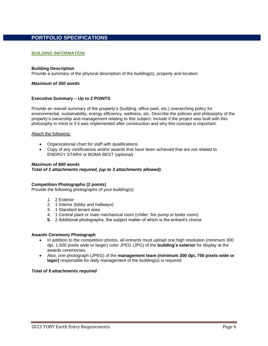#### **PORTFOLIO SPECIFICATIONS**

#### **BUILDING INFORMATION**

#### **Building Description**

Provide a summary of the physical description of the building(s), property and location.

#### *Maximum of 350 words*

#### **Executive Summary – Up to 2 POINTS**

Provide an overall summary of the property's (building, office park, etc.) overarching policy for environmental, sustainability, energy efficiency, wellness, etc. Describe the policies and philosophy of the property's ownership and management relating to this subject. Include if the project was built with this philosophy in mind or if it was implemented after construction and why this concept is important.

#### Attach the following:

- Organizational chart for staff with qualifications
- Copy of any certifications and/or awards that have been achieved that are not related to ENERGY STAR® or BOMA BEST (optional)

#### *Maximum of 600 words*

*Total of 2 attachments required, (up to 3 attachments allowed).* 

#### **Competition Photographs (2 points)**

Provide the following photographs of your building(s):

- 1. 2 Exterior
- 2. 1 Interior (lobby and hallways)
- 3. 1 Standard tenant area
- 4. 1 Central plant or main mechanical room (chiller, fire pump or boiler room)
- **5.** 2 Additional photographs, the subject matter of which is the entrant's choice

#### **Awards Ceremony Photograph**

- In addition to the competition photos, all entrants must upload one high resolution (minimum 300 dpi, 1,500 pixels wide or larger) color JPEG (JPG) of the **building's exterior** for display at the awards ceremonies.
- Also, one photograph (JPEG) of the **management team (minimum 300 dpi, 750 pixels wide or lager)** responsible for daily management of the building(s) is required.

#### *Total of 9 attachments required*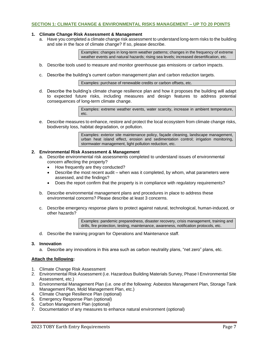#### **SECTION 1: CLIMATE CHANGE & ENVIRONMENTAL RISKS MANAGEMENT – UP TO 20 POINTS**

#### **1. Climate Change Risk Assessment & Management**

a. Have you completed a climate change risk assessment to understand long-term risks to the building and site in the face of climate change? If so, please describe.

> Examples: changes in long-term weather patterns; changes in the frequency of extreme weather events and natural hazards; rising sea levels; increased desertification, etc.

- b. Describe tools used to measure and monitor greenhouse gas emissions or carbon impacts.
- c. Describe the building's current carbon management plan and carbon reduction targets.

Examples: purchase of renewable credits or carbon offsets, etc.

d. Describe the building's climate change resilience plan and how it proposes the building will adapt to expected future risks, including measures and design features to address potential consequences of long-term climate change.

> Examples: extreme weather events, water scarcity, increase in ambient temperature, etc.

e. Describe measures to enhance, restore and protect the local ecosystem from climate change risks, biodiversity loss, habitat degradation, or pollution.

> Examples: exterior site maintenance policy, façade cleaning, landscape management, urban heat island effect, erosion and sedimentation control; irrigation monitoring, stormwater management, light pollution reduction, etc.

#### **2. Environmental Risk Assessment & Management**

- a. Describe environmental risk assessments completed to understand issues of environmental concern affecting the property?
	- How frequently are they conducted?
	- Describe the most recent audit when was it completed, by whom, what parameters were assessed, and the findings?
	- Does the report confirm that the property is in compliance with regulatory requirements?
- b. Describe environmental management plans and procedures in place to address these environmental concerns? Please describe at least 3 concerns.
- c. Describe emergency response plans to protect against natural, technological, human-induced, or other hazards?

Examples: pandemic preparedness, disaster recovery, crisis management, training and drills, fire protection, testing, maintenance, awareness, notification protocols, etc.

d. Describe the training program for Operations and Maintenance staff.

#### **3. Innovation**

a. Describe any innovations in this area such as carbon neutrality plans, "net zero" plans, etc.

#### **Attach the following:**

- 1. Climate Change Risk Assessment
- 2. Environmental Risk Assessment (i.e. Hazardous Building Materials Survey, Phase I Environmental Site Assessment, etc.)
- 3. Environmental Management Plan (i.e. one of the following: Asbestos Management Plan, Storage Tank Management Plan, Mold Management Plan, etc.)
- 4. Climate Change Resilience Plan (optional)
- 5. Emergency Response Plan (optional)
- 6. Carbon Management Plan (optional)
- 7. Documentation of any measures to enhance natural environment (optional)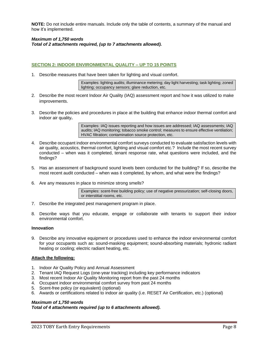**NOTE:** Do not include entire manuals. Include only the table of contents, a summary of the manual and how it's implemented.

#### *Maximum of 1,750 words Total of 2 attachments required, (up to 7 attachments allowed).*

#### **SECTION 2: INDOOR ENVIRONMENTAL QUALITY – UP TO 15 POINTS**

1. Describe measures that have been taken for lighting and visual comfort.

Examples: lighting audits; illuminance metering; day light harvesting; task lighting; zoned lighting; occupancy sensors; glare reduction, etc.

- 2. Describe the most recent Indoor Air Quality (IAQ) assessment report and how it was utilized to make improvements.
- 3. Describe the policies and procedures in place at the building that enhance indoor thermal comfort and indoor air quality**.**

Examples: IAQ issues reporting and how issues are addressed; IAQ assessments; IAQ audits; IAQ monitoring; tobacco smoke control; measures to ensure effective ventilation; HVAC filtration; contamination source protection, etc.

- 4. Describe occupant indoor environmental comfort surveys conducted to evaluate satisfaction levels with air quality, acoustics, thermal comfort, lighting and visual comfort etc.? Include the most recent survey conducted – when was it completed, tenant response rate, what questions were included, and the findings?
- 5. Has an assessment of background sound levels been conducted for the building? If so, describe the most recent audit conducted – when was it completed, by whom, and what were the findings?
- 6. Are any measures in place to minimize strong smells?

Examples: scent-free building policy; use of negative pressurization; self-closing doors, or interstitial rooms, etc.

- 7. Describe the integrated pest management program in place.
- 8. Describe ways that you educate, engage or collaborate with tenants to support their indoor environmental comfort.

#### **Innovation**

9. Describe any innovative equipment or procedures used to enhance the indoor environmental comfort for your occupants such as: sound-masking equipment; sound-absorbing materials; hydronic radiant heating or cooling; electric radiant heating, etc.

#### **Attach the following:**

- 1. Indoor Air Quality Policy and Annual Assessment
- 2. Tenant IAQ Request Logs (one-year tracking) including key performance indicators
- 3. Most recent Indoor Air Quality Monitoring report from the past 24 months
- 4. Occupant indoor environmental comfort survey from past 24 months
- 5. Scent-free policy (or equivalent) (optional)
- 6. Awards or certifications related to indoor air quality (i.e. RESET Air Certification, etc.) (optional)

#### *Maximum of 1,750 words*

*Total of 4 attachments required (up to 6 attachments allowed).*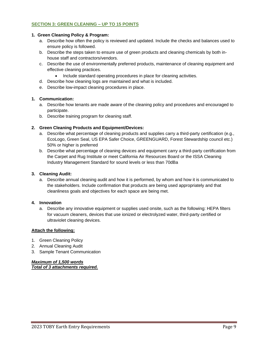#### **SECTION 3: GREEN CLEANING – UP TO 15 POINTS**

#### **1. Green Cleaning Policy & Program:**

- a. Describe how often the policy is reviewed and updated. Include the checks and balances used to ensure policy is followed.
- b. Describe the steps taken to ensure use of green products and cleaning chemicals by both inhouse staff and contractors/vendors.
- c. Describe the use of environmentally preferred products, maintenance of cleaning equipment and effective cleaning practices.
	- Include standard operating procedures in place for cleaning activities.
- d. Describe how cleaning logs are maintained and what is included.
- e. Describe low-impact cleaning procedures in place.

#### **1. Communication:**

- a. Describe how tenants are made aware of the cleaning policy and procedures and encouraged to participate.
- b. Describe training program for cleaning staff.

#### **2. Green Cleaning Products and Equipment/Devices:**

- a. Describe what percentage of cleaning products and supplies carry a third-party certification (e.g., EcoLogo, Green Seal, US EPA Safer Choice, GREENGUARD, Forest Stewardship council etc.) 50% or higher is preferred
- b. Describe what percentage of cleaning devices and equipment carry a third-party certification from the Carpet and Rug Institute or meet California Air Resources Board or the ISSA Cleaning Industry Management Standard for sound levels or less than 70dBa

#### **3. Cleaning Audit:**

a. Describe annual cleaning audit and how it is performed, by whom and how it is communicated to the stakeholders. Include confirmation that products are being used appropriately and that cleanliness goals and objectives for each space are being met.

#### **4. Innovation**

a. Describe any innovative equipment or supplies used onsite, such as the following: HEPA filters for vacuum cleaners, devices that use ionized or electrolyzed water, third-party certified or ultraviolet cleaning devices.

#### **Attach the following:**

- 1. Green Cleaning Policy
- 2. Annual Cleaning Audit
- 3. Sample Tenant Communication

*Maximum of 1,500 words Total of 3 attachments required.*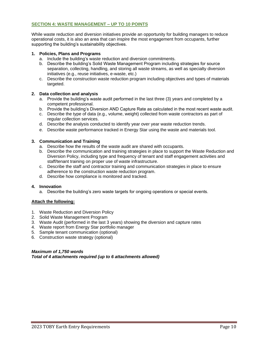#### **SECTION 4: WASTE MANAGEMENT – UP TO 10 POINTS**

While waste reduction and diversion initiatives provide an opportunity for building managers to reduce operational costs, it is also an area that can inspire the most engagement from occupants, further supporting the building's sustainability objectives.

#### **1. Policies, Plans and Programs**

- a. Include the building's waste reduction and diversion commitments.
- b. Describe the building's Solid Waste Management Program including strategies for source separation, collecting, handling, and storing all waste streams, as well as specialty diversion initiatives (e.g., reuse initiatives, e-waste, etc.)
- c. Describe the construction waste reduction program including objectives and types of materials targeted.

#### **2. Data collection and analysis**

- a. Provide the building's waste audit performed in the last three (3) years and completed by a competent professional.
- b. Provide the building's Diversion AND Capture Rate as calculated in the most recent waste audit.
- c. Describe the type of data (e.g., volume, weight) collected from waste contractors as part of regular collection services.
- d. Describe the analysis conducted to identify year over year waste reduction trends.
- e. Describe waste performance tracked in Energy Star using the waste and materials tool.

#### **3. Communication and Training**

- a. Describe how the results of the waste audit are shared with occupants.
- b. Describe the communication and training strategies in place to support the Waste Reduction and Diversion Policy, including type and frequency of tenant and staff engagement activities and staff/tenant training on proper use of waste infrastructure.
- c. Describe the staff and contractor training and communication strategies in place to ensure adherence to the construction waste reduction program.
- d. Describe how compliance is monitored and tracked.

#### **4. Innovation**

a. Describe the building's zero waste targets for ongoing operations or special events.

#### **Attach the following:**

- 1. Waste Reduction and Diversion Policy
- 2. Solid Waste Management Program
- 3. Waste Audit (performed in the last 3 years) showing the diversion and capture rates
- 4. Waste report from Energy Star portfolio manager
- 5. Sample tenant communication (optional)
- 6. Construction waste strategy (optional)

#### *Maximum of 1,750 words Total of 4 attachments required (up to 6 attachments allowed)*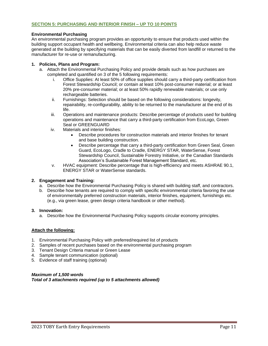#### **SECTION 5: PURCHASING AND INTERIOR FINISH – UP TO 10 POINTS**

#### **Environmental Purchasing**

An environmental purchasing program provides an opportunity to ensure that products used within the building support occupant health and wellbeing. Environmental criteria can also help reduce waste generated at the building by specifying materials that can be easily diverted from landfill or returned to the manufacturer for re-use or remanufacturing.

#### **1. Policies, Plans and Program:**

- a. Attach the Environmental Purchasing Policy and provide details such as how purchases are completed and quantified on 3 of the 5 following requirements:
	- i. Office Supplies: At least 50% of office supplies should carry a third-party certification from Forest Stewardship Council; or contain at least 10% post-consumer material; or at least 20% pre-consumer material; or at least 50% rapidly renewable materials; or use only rechargeable batteries.
	- ii. Furnishings: Selection should be based on the following considerations: longevity, repairability, re-configurability, ability to be returned to the manufacturer at the end of its life.
	- iii. Operations and maintenance products: Describe percentage of products used for building operations and maintenance that carry a third-party certification from EcoLogo, Green Seal or GREENGUARD
	- iv. Materials and interior finishes:
		- Describe procedures for construction materials and interior finishes for tenant and base building construction.
		- Describe percentage that carry a third-party certification from Green Seal, Green Guard, EcoLogo, Cradle to Cradle, ENERGY STAR, WaterSense, Forest Stewardship Council, Sustainable Forestry Initiative, or the Canadian Standards Association's Sustainable Forest Management Standard, etc.
	- v. HVAC equipment: Describe percentage that is high-efficiency and meets ASHRAE 90.1, ENERGY STAR or WaterSense standards.

#### **2. Engagement and Training:**

- a. Describe how the Environmental Purchasing Policy is shared with building staff, and contractors.
- b. Describe how tenants are required to comply with specific environmental criteria favoring the use of environmentally preferred construction materials, interior finishes, equipment, furnishings etc. (e.g., via green lease, green design criteria handbook or other method).

#### **3. Innovation:**

a. Describe how the Environmental Purchasing Policy supports circular economy principles.

#### **Attach the following:**

- 1. Environmental Purchasing Policy with preferred/required list of products
- 2. Samples of recent purchases based on the environmental purchasing program
- 3. Tenant Design Criteria manual or Green Lease
- 4. Sample tenant communication (optional)
- 5. Evidence of staff training (optional)

*Maximum of 1,500 words Total of 3 attachments required (up to 5 attachments allowed)*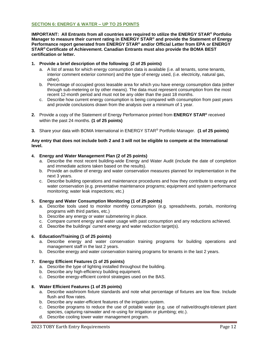#### **SECTION 6: ENERGY & WATER – UP TO 25 POINTS**

**IMPORTANT: All Entrants from all countries are required to utilize the ENERGY STAR® Portfolio Manager to measure their current rating in ENERGY STAR® and provide the Statement of Energy Performance report generated from ENERGY STAR® and/or Official Letter from EPA or ENERGY STAR® Certificate of Achievement. Canadian Entrants must also provide the BOMA BEST certification or letter.**

#### **1. Provide a brief description of the following**: **(2 of 25 points)**

- a. A list of areas for which energy consumption data is available (i.e. all tenants, some tenants, interior comment exterior common) and the type of energy used, (i.e. electricity, natural gas, other).
- b. Percentage of occupied gross leasable area for which you have energy consumption data (either through sub-metering or by other means). The data must represent consumption from the most recent 12-month period and must not be any older than the past 18 months.
- c. Describe how current energy consumption is being compared with consumption from past years and provide conclusions drawn from the analysis over a minimum of 1 year.
- **2.** Provide a copy of the Statement of Energy Performance printed from **ENERGY STAR®** received within the past 24 months. **(1 of 25 points)**
- **3.** Share your data with BOMA International in ENERGY STAR® Portfolio Manager. **(1 of 25 points)**

#### **Any entry that does not include both 2 and 3 will not be eligible to compete at the International level.**

#### **4. Energy and Water Management Plan (2 of 25 points)**

- a. Describe the most recent building-wide Energy and Water Audit (include the date of completion and immediate actions taken based on the results).
- b. Provide an outline of energy and water conservation measures planned for implementation in the next 3 years.
- c. Describe building operations and maintenance procedures and how they contribute to energy and water conservation (e.g. preventative maintenance programs; equipment and system performance monitoring; water leak inspections; etc.)

#### **5. Energy and Water Consumption Monitoring (1 of 25 points)**

- a. Describe tools used to monitor monthly consumption (e.g. spreadsheets, portals, monitoring programs with third parties, etc.)
- b. Describe any energy or water submetering in place.
- c. Compare current energy and water usage with past consumption and any reductions achieved.
- d. Describe the buildings' current energy and water reduction target(s).

#### **6. Education/Training (1 of 25 points)**

- a. Describe energy and water conservation training programs for building operations and management staff in the last 2 years.
- b. Describe energy and water conservation training programs for tenants in the last 2 years.

#### **7. Energy Efficient Features (1 of 25 points)**

- a. Describe the type of lighting installed throughout the building.
- b. Describe any high-efficiency building equipment.
- c. Describe energy-efficient control strategies used on the BAS.

#### **8. Water Efficient Features (1 of 25 points)**

- a. Describe washroom fixture standards and note what percentage of fixtures are low flow. Include flush and flow rates.
- b. Describe any water-efficient features of the irrigation system.
- c. Describe programs to reduce the use of potable water (e.g. use of native/drought-tolerant plant species, capturing rainwater and re-using for irrigation or plumbing; etc.).
- d. Describe cooling tower water management program.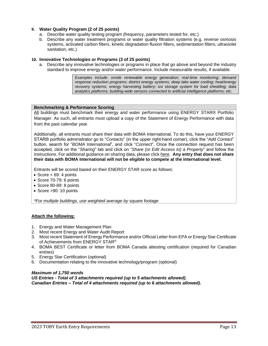#### **9. Water Quality Program (2 of 25 points)**

- a. Describe water quality testing program (frequency, parameters tested for, etc.)
- b. Describe any water treatment programs or water quality filtration systems (e.g. reverse osmosis systems, activated carbon filters, kinetic degradation fluxion filters, sedimentation filters, ultraviolet sanitation, etc.)

#### **10. Innovative Technologies or Programs (3 of 25 points)**

a. Describe any innovative technologies or programs in place that go above and beyond the industry standard to improve energy and/or water performance. Include measurable results, if available.

> *Examples include: onsite renewable energy generation; real-time monitoring; demand response reduction programs; district energy systems; deep lake water cooling; heat/energy recovery systems; energy harvesting battery; ice storage system for load shedding; data analytics platforms; building-wide sensors connected to artificial intelligence platforms; etc.*

#### **Benchmarking & Performance Scoring**

All buildings must benchmark their energy and water performance using ENERGY STAR® Portfolio Manager. As such, all entrants must upload a copy of the Statement of Energy Performance with data from the past calendar year.

Additionally, all entrants must share their data with BOMA International. To do this, have your ENERGY STAR® portfolio administrator go to "*Contacts*" (in the upper right-hand corner), click the "*Add Contact*" button, search for "*BOMA International*", and click "*Connect*". Once the connection request has been accepted, click on the "*Sharing*" tab and click on "*Share (or Edit Access to) a Property*" and follow the instructions. For additional guidance on sharing data, please click [here.](https://www.energystar.gov/sites/default/files/tools/Print_Resource_Sharing_Properties_080514_508.pdf) **Any entry that does not share their data with BOMA International will not be eligible to compete at the International level.** 

Entrants will be scored based on their ENERGY STAR score as follows:

- Score  $<$  69: 4 points
- Score 70-79: 6 points
- Score 80-89: 8 points
- Score >90: 10 points

*\*For multiple buildings, use weighted average by square footage*

#### **Attach the following:**

- 1. Energy and Water Management Plan
- 2. Most recent Energy and Water Audit Report
- 3. Most recent Statement of Energy Performance and/or Official Letter from EPA or Energy Star Certificate of Achievements from ENERGY STAR®
- 4. BOMA BEST Certificate or letter from BOMA Canada attesting certification (required for Canadian entries)
- 5. Energy Star Certification (optional)
- 6. Documentation relating to the innovative technology/program (optional)

#### *Maximum of 1,750 words*

*US Entries - Total of 3 attachments required (up to 5 attachments allowed). Canadian Entries – Total of 4 attachments required (up to 6 attachments allowed).*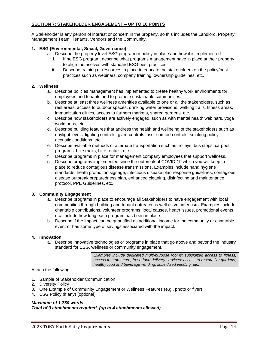#### **SECTION 7: STAKEHOLDER ENGAGEMENT – UP TO 10 POINTS**

A Stakeholder is any person of interest or concern in the property, so this includes the Landlord, Property Management Team, Tenants, Vendors and the Community.

#### **1. ESG (Environmental, Social, Governance)**

- a. Describe the property level ESG program or policy in place and how it is implemented.
	- i. If no ESG program, describe what programs management have in place at their property to align themselves with standard ESG best practices.
	- ii. Describe training or resources in place to educate the stakeholders on the policy/best practices such as webinars, company training, ownership guidelines, etc.

#### **2. Wellness**

- a. Describe policies management has implemented to create healthy work environments for employees and tenants and to promote sustainable communities.
- b. Describe at least three wellness amenities available to one or all the stakeholders, such as rest areas, access to outdoor spaces, drinking water provisions, walking trails, fitness areas, immunization clinics, access to farmers markets, shared gardens, etc.
- c. Describe how stakeholders are actively engaged, such as with mental health webinars, yoga workshops, etc.
- d. Describe building features that address the health and wellbeing of the stakeholders such as daylight levels, lighting controls, glare controls, user comfort controls, smoking policy, acoustic conditions, etc.
- e. Describe available methods of alternate transportation such as trolleys, bus stops, carpool programs, bike racks, bike rentals, etc.
- f. Describe programs in place for management company employees that support wellness.
- g. Describe programs implemented since the outbreak of COVID-19 which you will keep in place to reduce contagious disease transmissions. Examples include hand hygiene standards, heath promotion signage, infectious disease plan response guidelines, contagious disease outbreak preparedness plan, enhanced cleaning, disinfecting and maintenance protocol, PPE Guidelines, etc.

#### **3. Community Engagement**

- a. Describe programs in place to encourage all Stakeholders to have engagement with local communities through building and tenant outreach as well as volunteerism. Examples include charitable contributions, volunteer programs, local causes, heath issues, promotional events, etc. Include how long each program has been in place.
- b. Describe if the impact can be quantified as additional income for the community or charitable event or has some type of savings associated with the impact.

#### **4. Innovation**

a. Describe innovative technologies or programs in place that go above and beyond the industry standard for ESG, wellness or community engagement.

> *Examples include dedicated multi-purpose rooms; subsidized access to fitness; access to crop share; fresh food delivery services; access to restorative gardens; healthy food and beverage vending; subsidized vending, etc.*

#### Attach the following:

- 1. Sample of Stakeholder Communication
- 2. Diversity Policy
- 3. One Example of Community Engagement or Wellness Features (e.g., photo or flyer)
- 4. ESG Policy (if any) (optional)

#### *Maximum of 1,750 words Total of 3 attachments required, (up to 4 attachments allowed).*